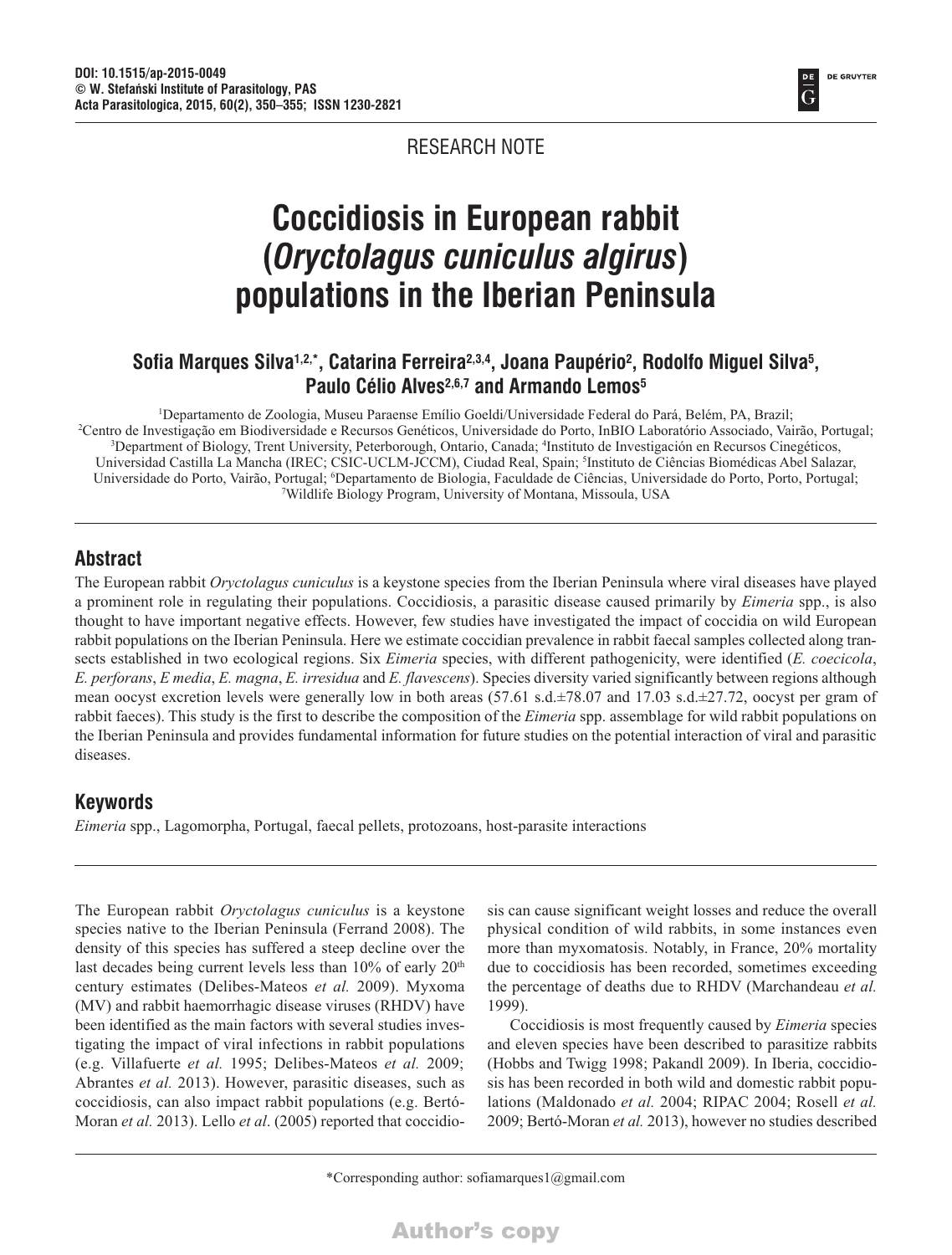**DE GRUYTER** G

#### RESEARCH NOTE

# **Coccidiosis in European rabbit (***Oryctolagus cuniculus algirus***) populations in the Iberian Peninsula**

### Sofia Marques Silva<sup>1,2,\*</sup>, Catarina Ferreira<sup>2,3,4</sup>, Joana Paupério<sup>2</sup>, Rodolfo Miguel Silva<sup>5</sup>, **Paulo Célio Alves2,6,7 and Armando Lemos5**

: Departamento de Zoologia, Museu Paraense Emílio Goeldi/Universidade Federal do Pará, Belém, PA, Brazili!<br>Centro de Investigação em Biodiversidade e Recursos Genéticos. Universidade do Porto, InBIO Laboratório Associado, Centro de Investigação em Biodiversidade e Recursos Genéticos, Universidade do Porto, InBIO Laboratório Associado, Vairão, Portugal; 3 Department of Biology, Trent University, Peterborough, Ontario, Canada; 4 Instituto de Investigación en Recursos Cinegéticos, Universidad Castilla La Mancha (IREC; CSIC-UCLM-JCCM), Ciudad Real, Spain; <sup>s</sup>Instituto de Ciências Biomédicas Abel Salazar, Universidade do Porto, Vairão, Portugal; 6 Departamento de Biologia, Faculdade de Ciências, Universidade do Porto, Porto, Portugal; 7 Wildlife Biology Program, University of Montana, Missoula, USA

#### **Abstract**

The European rabbit *Oryctolagus cuniculus* is a keystone species from the Iberian Peninsula where viral diseases have played a prominent role in regulating their populations. Coccidiosis, a parasitic disease caused primarily by *Eimeria* spp., is also thought to have important negative effects. However, few studies have investigated the impact of coccidia on wild European rabbit populations on the Iberian Peninsula. Here we estimate coccidian prevalence in rabbit faecal samples collected along transects established in two ecological regions. Six *Eimeria* species, with different pathogenicity, were identified (*E. coecicola*, *E. perforans*, *E media*, *E. magna*, *E. irresidua* and *E. flavescens*). Species diversity varied significantly between regions although mean oocyst excretion levels were generally low in both areas (57.61 s.d.±78.07 and 17.03 s.d.±27.72, oocyst per gram of rabbit faeces). This study is the first to describe the composition of the *Eimeria* spp. assemblage for wild rabbit populations on the Iberian Peninsula and provides fundamental information for future studies on the potential interaction of viral and parasitic diseases.

### **Keywords**

*Eimeria* spp., Lagomorpha, Portugal, faecal pellets, protozoans, host-parasite interactions

The European rabbit *Oryctolagus cuniculus* is a keystone species native to the Iberian Peninsula (Ferrand 2008). The density of this species has suffered a steep decline over the last decades being current levels less than 10% of early 20<sup>th</sup> century estimates (Delibes-Mateos *et al.* 2009). Myxoma (MV) and rabbit haemorrhagic disease viruses (RHDV) have been identified as the main factors with several studies investigating the impact of viral infections in rabbit populations (e.g. Villafuerte *et al.* 1995; Delibes-Mateos *et al.* 2009; Abrantes *et al.* 2013). However, parasitic diseases, such as coccidiosis, can also impact rabbit populations (e.g. Bertó-Moran *et al.* 2013). Lello *et al*. (2005) reported that coccidiosis can cause significant weight losses and reduce the overall physical condition of wild rabbits, in some instances even more than myxomatosis. Notably, in France, 20% mortality due to coccidiosis has been recorded, sometimes exceeding the percentage of deaths due to RHDV (Marchandeau *et al.* 1999).

Coccidiosis is most frequently caused by *Eimeria* species and eleven species have been described to parasitize rabbits (Hobbs and Twigg 1998; Pakandl 2009). In Iberia, coccidiosis has been recorded in both wild and domestic rabbit populations (Maldonado *et al.* 2004; RIPAC 2004; Rosell *et al.* 2009; Bertó-Moran *et al.* 2013), however no studies described

\*Corresponding author: sofiamarques1@gmail.com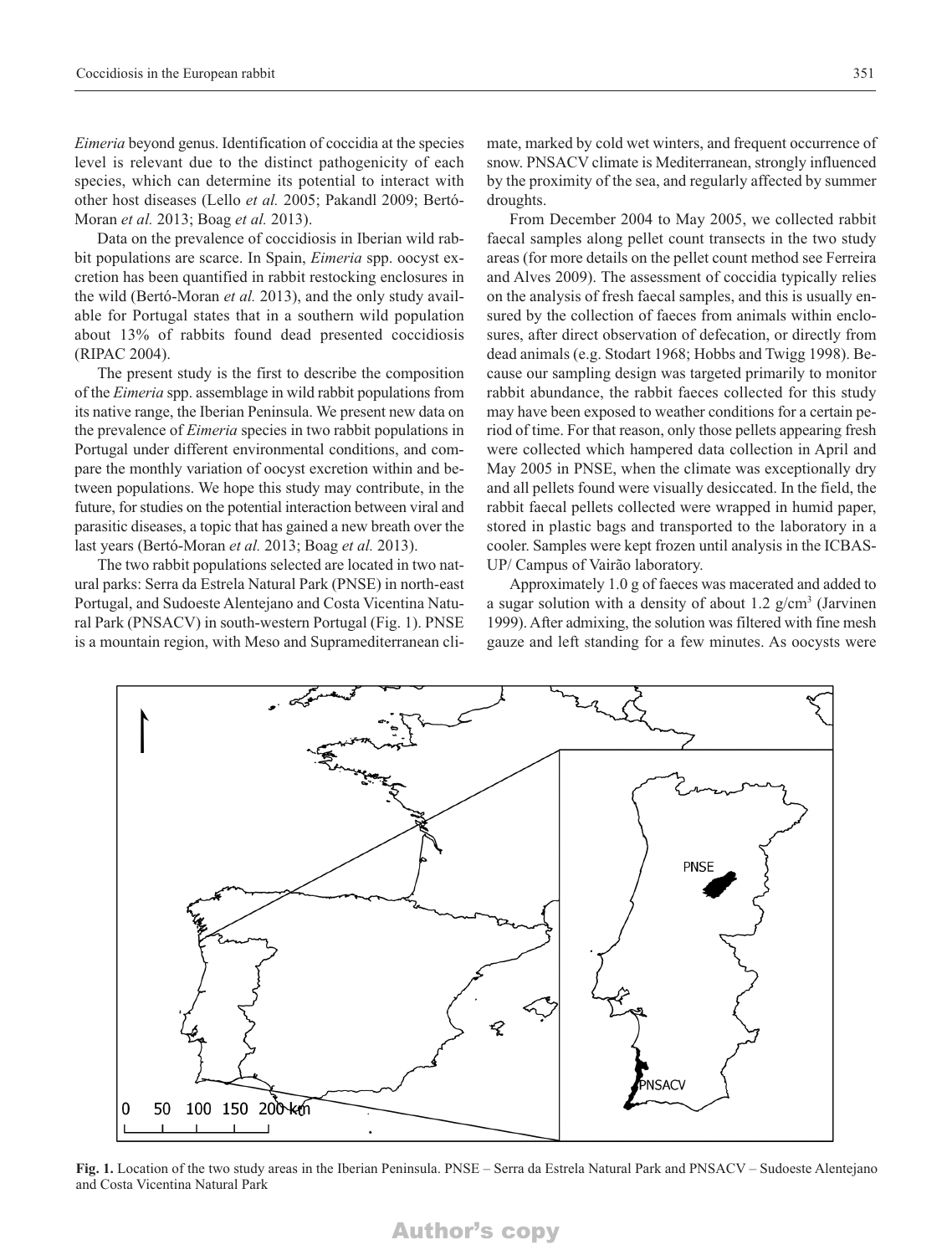*Eimeria* beyond genus. Identification of coccidia at the species level is relevant due to the distinct pathogenicity of each species, which can determine its potential to interact with other host diseases (Lello *et al.* 2005; Pakandl 2009; Bertó-Moran *et al.* 2013; Boag *et al.* 2013).

Data on the prevalence of coccidiosis in Iberian wild rabbit populations are scarce. In Spain, *Eimeria* spp. oocyst excretion has been quantified in rabbit restocking enclosures in the wild (Bertó-Moran *et al.* 2013), and the only study available for Portugal states that in a southern wild population about 13% of rabbits found dead presented coccidiosis (RIPAC 2004).

The present study is the first to describe the composition of the *Eimeria* spp. assemblage in wild rabbit populations from its native range, the Iberian Peninsula. We present new data on the prevalence of *Eimeria* species in two rabbit populations in Portugal under different environmental conditions, and compare the monthly variation of oocyst excretion within and between populations. We hope this study may contribute, in the future, for studies on the potential interaction between viral and parasitic diseases, a topic that has gained a new breath over the last years (Bertó-Moran *et al.* 2013; Boag *et al.* 2013).

The two rabbit populations selected are located in two natural parks: Serra da Estrela Natural Park (PNSE) in north-east Portugal, and Sudoeste Alentejano and Costa Vicentina Natural Park (PNSACV) in south-western Portugal (Fig. 1). PNSE is a mountain region, with Meso and Supramediterranean climate, marked by cold wet winters, and frequent occurrence of snow. PNSACV climate is Mediterranean, strongly influenced by the proximity of the sea, and regularly affected by summer droughts.

From December 2004 to May 2005, we collected rabbit faecal samples along pellet count transects in the two study areas (for more details on the pellet count method see Ferreira and Alves 2009). The assessment of coccidia typically relies on the analysis of fresh faecal samples, and this is usually ensured by the collection of faeces from animals within enclosures, after direct observation of defecation, or directly from dead animals (e.g. Stodart 1968; Hobbs and Twigg 1998). Because our sampling design was targeted primarily to monitor rabbit abundance, the rabbit faeces collected for this study may have been exposed to weather conditions for a certain period of time. For that reason, only those pellets appearing fresh were collected which hampered data collection in April and May 2005 in PNSE, when the climate was exceptionally dry and all pellets found were visually desiccated. In the field, the rabbit faecal pellets collected were wrapped in humid paper, stored in plastic bags and transported to the laboratory in a cooler. Samples were kept frozen until analysis in the ICBAS-UP/ Campus of Vairão laboratory.

Approximately 1.0 g of faeces was macerated and added to a sugar solution with a density of about 1.2  $g/cm<sup>3</sup>$  (Jarvinen 1999). After admixing, the solution was filtered with fine mesh gauze and left standing for a few minutes. As oocysts were



**Fig. 1.** Location of the two study areas in the Iberian Peninsula. PNSE – Serra da Estrela Natural Park and PNSACV – Sudoeste Alentejano and Costa Vicentina Natural Park

#### Author's copy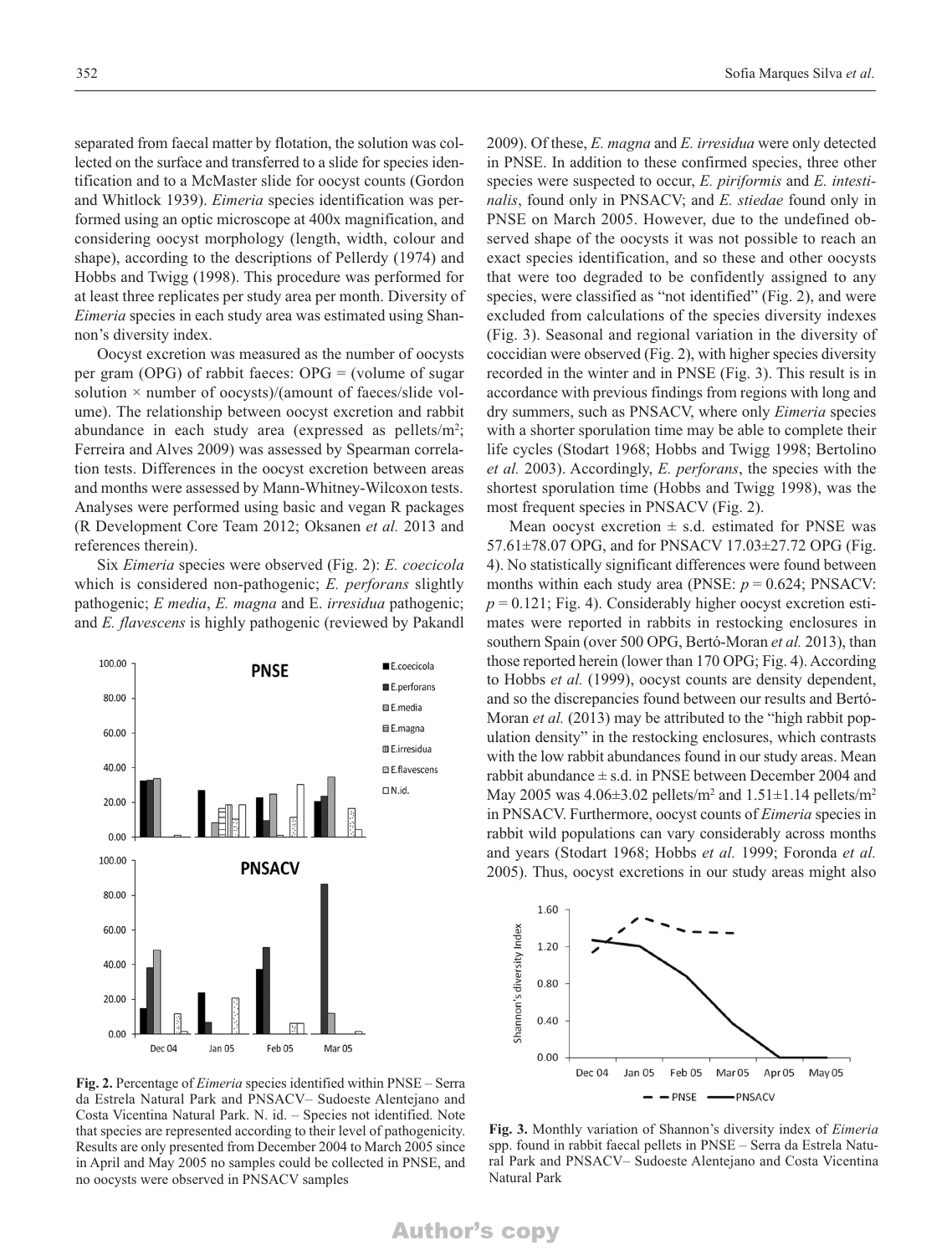separated from faecal matter by flotation, the solution was collected on the surface and transferred to a slide for species identification and to a McMaster slide for oocyst counts (Gordon and Whitlock 1939). *Eimeria* species identification was performed using an optic microscope at 400x magnification, and considering oocyst morphology (length, width, colour and shape), according to the descriptions of Pellerdy (1974) and Hobbs and Twigg (1998). This procedure was performed for at least three replicates per study area per month. Diversity of *Eimeria* species in each study area was estimated using Shannon's diversity index.

Oocyst excretion was measured as the number of oocysts per gram (OPG) of rabbit faeces: OPG = (volume of sugar solution  $\times$  number of oocysts)/(amount of faeces/slide volume). The relationship between oocyst excretion and rabbit abundance in each study area (expressed as pellets/ $m^2$ ; Ferreira and Alves 2009) was assessed by Spearman correlation tests. Differences in the oocyst excretion between areas and months were assessed by Mann-Whitney-Wilcoxon tests. Analyses were performed using basic and vegan R packages (R Development Core Team 2012; Oksanen *et al.* 2013 and references therein).

Six *Eimeria* species were observed (Fig. 2): *E. coecicola* which is considered non-pathogenic; *E. perforans* slightly pathogenic; *E media*, *E. magna* and E. *irresidua* pathogenic; and *E. flavescens* is highly pathogenic (reviewed by Pakandl



**Fig. 2.** Percentage of *Eimeria* species identified within PNSE – Serra da Estrela Natural Park and PNSACV– Sudoeste Alentejano and Costa Vicentina Natural Park. N. id. – Species not identified. Note that species are represented according to their level of pathogenicity. Results are only presented from December 2004 to March 2005 since in April and May 2005 no samples could be collected in PNSE, and no oocysts were observed in PNSACV samples

2009). Of these, *E. magna* and *E. irresidua* were only detected in PNSE. In addition to these confirmed species, three other species were suspected to occur, *E. piriformis* and *E. intestinalis*, found only in PNSACV; and *E. stiedae* found only in PNSE on March 2005. However, due to the undefined observed shape of the oocysts it was not possible to reach an exact species identification, and so these and other oocysts that were too degraded to be confidently assigned to any species, were classified as "not identified" (Fig. 2), and were excluded from calculations of the species diversity indexes (Fig. 3). Seasonal and regional variation in the diversity of coccidian were observed (Fig. 2), with higher species diversity recorded in the winter and in PNSE (Fig. 3). This result is in accordance with previous findings from regions with long and dry summers, such as PNSACV, where only *Eimeria* species with a shorter sporulation time may be able to complete their life cycles (Stodart 1968; Hobbs and Twigg 1998; Bertolino *et al.* 2003). Accordingly, *E. perforans*, the species with the shortest sporulation time (Hobbs and Twigg 1998), was the most frequent species in PNSACV (Fig. 2).

Mean oocyst excretion  $\pm$  s.d. estimated for PNSE was 57.61±78.07 OPG, and for PNSACV 17.03±27.72 OPG (Fig. 4). No statistically significant differences were found between months within each study area (PNSE:  $p = 0.624$ ; PNSACV:  $p = 0.121$ ; Fig. 4). Considerably higher oocyst excretion estimates were reported in rabbits in restocking enclosures in southern Spain (over 500 OPG, Bertó-Moran *et al.* 2013), than those reported herein (lower than 170 OPG; Fig. 4). According to Hobbs *et al.* (1999), oocyst counts are density dependent, and so the discrepancies found between our results and Bertó-Moran *et al.* (2013) may be attributed to the "high rabbit population density" in the restocking enclosures, which contrasts with the low rabbit abundances found in our study areas. Mean rabbit abundance  $\pm$  s.d. in PNSE between December 2004 and May 2005 was  $4.06\pm3.02$  pellets/m<sup>2</sup> and  $1.51\pm1.14$  pellets/m<sup>2</sup> in PNSACV. Furthermore, oocyst counts of *Eimeria* species in rabbit wild populations can vary considerably across months and years (Stodart 1968; Hobbs *et al.* 1999; Foronda *et al.* 2005). Thus, oocyst excretions in our study areas might also



**Fig. 3.** Monthly variation of Shannon's diversity index of *Eimeria* spp. found in rabbit faecal pellets in PNSE – Serra da Estrela Natural Park and PNSACV– Sudoeste Alentejano and Costa Vicentina Natural Park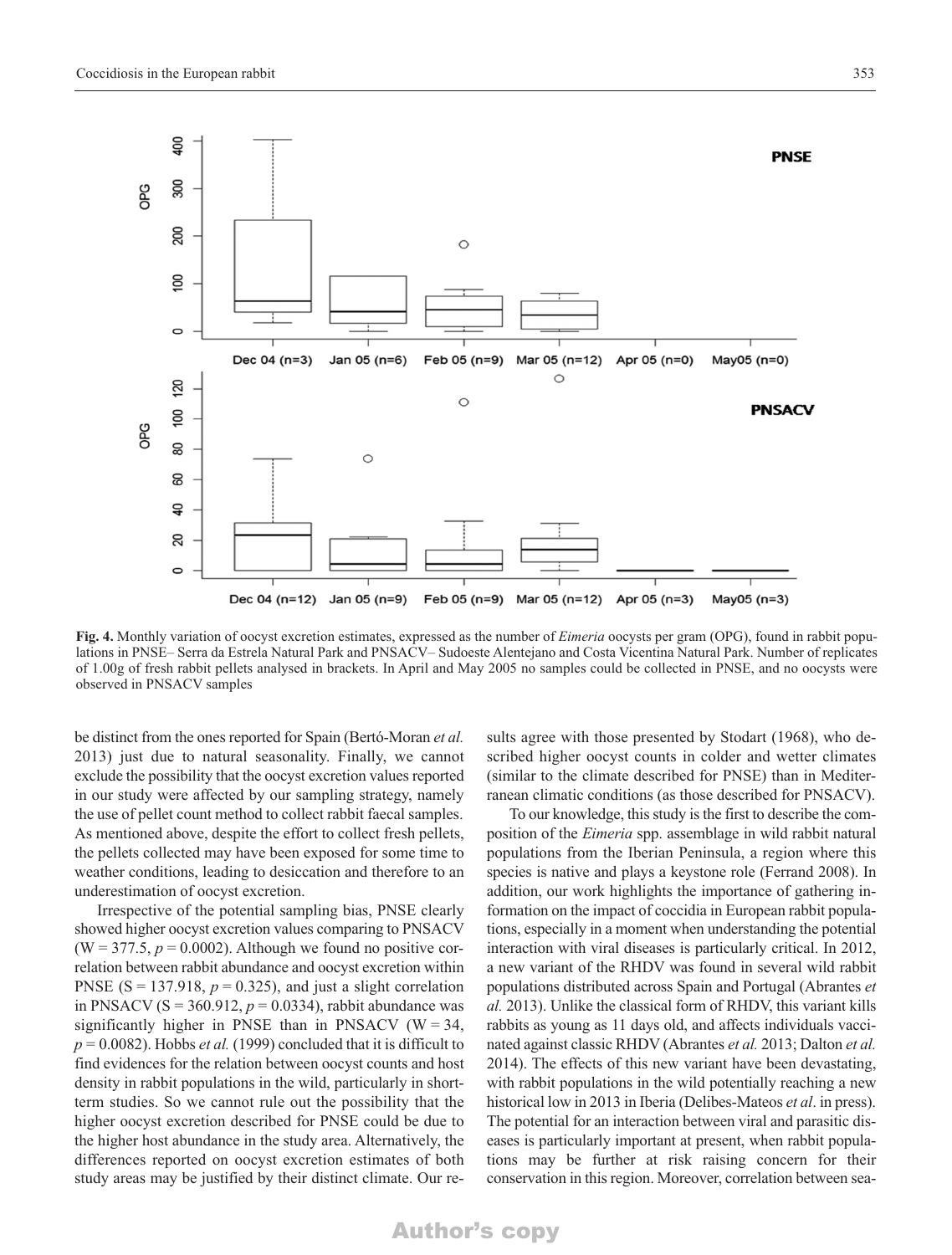

**Fig. 4.** Monthly variation of oocyst excretion estimates, expressed as the number of *Eimeria* oocysts per gram (OPG), found in rabbit populations in PNSE– Serra da Estrela Natural Park and PNSACV– Sudoeste Alentejano and Costa Vicentina Natural Park. Number of replicates of 1.00g of fresh rabbit pellets analysed in brackets. In April and May 2005 no samples could be collected in PNSE, and no oocysts were observed in PNSACV samples

be distinct from the ones reported for Spain (Bertó-Moran *et al.* 2013) just due to natural seasonality. Finally, we cannot exclude the possibility that the oocyst excretion values reported in our study were affected by our sampling strategy, namely the use of pellet count method to collect rabbit faecal samples. As mentioned above, despite the effort to collect fresh pellets, the pellets collected may have been exposed for some time to weather conditions, leading to desiccation and therefore to an underestimation of oocyst excretion.

Irrespective of the potential sampling bias, PNSE clearly showed higher oocyst excretion values comparing to PNSACV  $(W = 377.5, p = 0.0002)$ . Although we found no positive correlation between rabbit abundance and oocyst excretion within PNSE ( $S = 137.918$ ,  $p = 0.325$ ), and just a slight correlation in PNSACV ( $S = 360.912$ ,  $p = 0.0334$ ), rabbit abundance was significantly higher in PNSE than in PNSACV ( $W = 34$ ,  $p = 0.0082$ ). Hobbs *et al.* (1999) concluded that it is difficult to find evidences for the relation between oocyst counts and host density in rabbit populations in the wild, particularly in shortterm studies. So we cannot rule out the possibility that the higher oocyst excretion described for PNSE could be due to the higher host abundance in the study area. Alternatively, the differences reported on oocyst excretion estimates of both study areas may be justified by their distinct climate. Our results agree with those presented by Stodart (1968), who described higher oocyst counts in colder and wetter climates (similar to the climate described for PNSE) than in Mediterranean climatic conditions (as those described for PNSACV).

To our knowledge, this study is the first to describe the composition of the *Eimeria* spp. assemblage in wild rabbit natural populations from the Iberian Peninsula, a region where this species is native and plays a keystone role (Ferrand 2008). In addition, our work highlights the importance of gathering information on the impact of coccidia in European rabbit populations, especially in a moment when understanding the potential interaction with viral diseases is particularly critical. In 2012, a new variant of the RHDV was found in several wild rabbit populations distributed across Spain and Portugal (Abrantes *et al.* 2013). Unlike the classical form of RHDV, this variant kills rabbits as young as 11 days old, and affects individuals vaccinated against classic RHDV (Abrantes *et al.* 2013; Dalton *et al.* 2014). The effects of this new variant have been devastating, with rabbit populations in the wild potentially reaching a new historical low in 2013 in Iberia (Delibes-Mateos *et al*. in press). The potential for an interaction between viral and parasitic diseases is particularly important at present, when rabbit populations may be further at risk raising concern for their conservation in this region. Moreover, correlation between sea-

#### Author's copy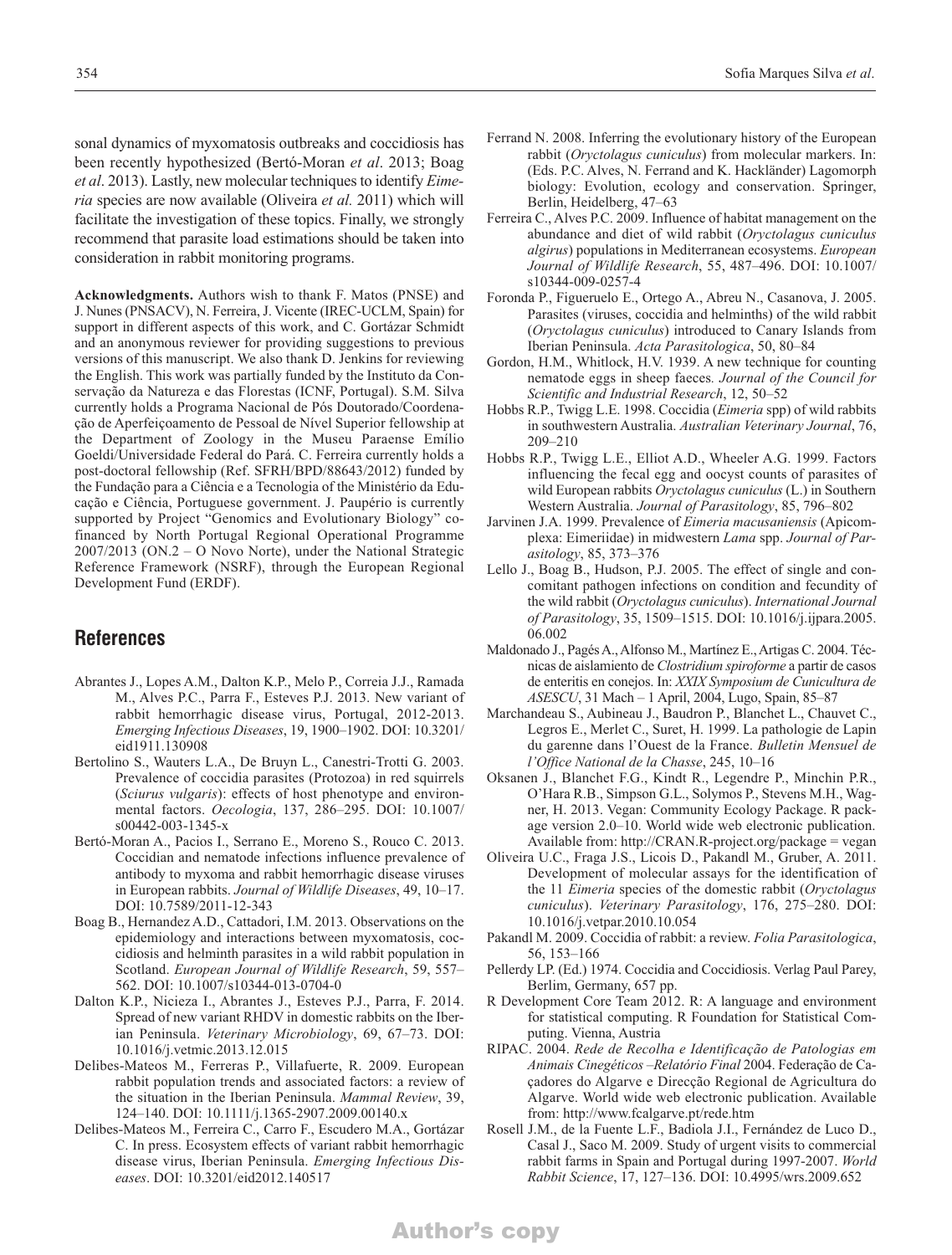sonal dynamics of myxomatosis outbreaks and coccidiosis has been recently hypothesized (Bertó-Moran *et al*. 2013; Boag *et al*. 2013). Lastly, new molecular techniques to identify *Eimeria* species are now available (Oliveira *et al.* 2011) which will facilitate the investigation of these topics. Finally, we strongly recommend that parasite load estimations should be taken into consideration in rabbit monitoring programs.

**Acknowledgments.** Authors wish to thank F. Matos (PNSE) and J. Nunes (PNSACV), N. Ferreira, J. Vicente (IREC-UCLM, Spain) for support in different aspects of this work, and C. Gortázar Schmidt and an anonymous reviewer for providing suggestions to previous versions of this manuscript. We also thank D. Jenkins for reviewing the English. This work was partially funded by the Instituto da Conservação da Natureza e das Florestas (ICNF, Portugal). S.M. Silva currently holds a Programa Nacional de Pós Doutorado/Coordenação de Aperfeiçoamento de Pessoal de Nível Superior fellowship at the Department of Zoology in the Museu Paraense Emílio Goeldi/Universidade Federal do Pará. C. Ferreira currently holds a post-doctoral fellowship (Ref. SFRH/BPD/88643/2012) funded by the Fundação para a Ciência e a Tecnologia of the Ministério da Educação e Ciência, Portuguese government. J. Paupério is currently supported by Project "Genomics and Evolutionary Biology" cofinanced by North Portugal Regional Operational Programme 2007/2013 (ON.2 – O Novo Norte), under the National Strategic Reference Framework (NSRF), through the European Regional Development Fund (ERDF).

#### **References**

- Abrantes J., Lopes A.M., Dalton K.P., Melo P., Correia J.J., Ramada M., Alves P.C., Parra F., Esteves P.J. 2013. New variant of rabbit hemorrhagic disease virus, Portugal, 2012-2013. *Emerging Infectious Diseases*, 19, 1900*–*1902. DOI: 10.3201/ eid1911.130908
- Bertolino S., Wauters L.A., De Bruyn L., Canestri-Trotti G. 2003. Prevalence of coccidia parasites (Protozoa) in red squirrels (*Sciurus vulgaris*): effects of host phenotype and environmental factors. *Oecologia*, 137, 286–295. DOI: 10.1007/ s00442-003-1345-x
- Bertó-Moran A., Pacios I., Serrano E., Moreno S., Rouco C. 2013. Coccidian and nematode infections influence prevalence of antibody to myxoma and rabbit hemorrhagic disease viruses in European rabbits. *Journal of Wildlife Diseases*, 49, 10–17. DOI: 10.7589/2011-12-343
- Boag B., Hernandez A.D., Cattadori, I.M. 2013. Observations on the epidemiology and interactions between myxomatosis, coccidiosis and helminth parasites in a wild rabbit population in Scotland. *European Journal of Wildlife Research*, 59, 557*–* 562. DOI: 10.1007/s10344-013-0704-0
- Dalton K.P., Nicieza I., Abrantes J., Esteves P.J., Parra, F. 2014. Spread of new variant RHDV in domestic rabbits on the Iberian Peninsula. *Veterinary Microbiology*, 69, 67*–*73. DOI: 10.1016/j.vetmic.2013.12.015
- Delibes-Mateos M., Ferreras P., Villafuerte, R. 2009. European rabbit population trends and associated factors: a review of the situation in the Iberian Peninsula. *Mammal Review*, 39, 124–140. DOI: 10.1111/j.1365-2907.2009.00140.x
- Delibes-Mateos M., Ferreira C., Carro F., Escudero M.A., Gortázar C. In press. Ecosystem effects of variant rabbit hemorrhagic disease virus, Iberian Peninsula. *Emerging Infectious Diseases*. DOI: 10.3201/eid2012.140517
- Ferrand N. 2008. Inferring the evolutionary history of the European rabbit (*Oryctolagus cuniculus*) from molecular markers. In: (Eds. P.C. Alves, N. Ferrand and K. Hackländer) Lagomorph biology: Evolution, ecology and conservation. Springer, Berlin, Heidelberg, 47*–*63
- Ferreira C., Alves P.C. 2009. Influence of habitat management on the abundance and diet of wild rabbit (*Oryctolagus cuniculus algirus*) populations in Mediterranean ecosystems. *European Journal of Wildlife Research*, 55, 487–496. DOI: 10.1007/ s10344-009-0257-4
- Foronda P., Figueruelo E., Ortego A., Abreu N., Casanova, J. 2005. Parasites (viruses, coccidia and helminths) of the wild rabbit (*Oryctolagus cuniculus*) introduced to Canary Islands from Iberian Peninsula. *Acta Parasitologica*, 50, 80–84
- Gordon, H.M., Whitlock, H.V. 1939. A new technique for counting nematode eggs in sheep faeces*. Journal of the Council for Scientific and Industrial Research*, 12, 50–52
- Hobbs R.P., Twigg L.E. 1998. Coccidia (*Eimeria* spp) of wild rabbits in southwestern Australia. *Australian Veterinary Journal*, 76, 209–210
- Hobbs R.P., Twigg L.E., Elliot A.D., Wheeler A.G. 1999. Factors influencing the fecal egg and oocyst counts of parasites of wild European rabbits *Oryctolagus cuniculus* (L.) in Southern Western Australia. *Journal of Parasitology*, 85, 796–802
- Jarvinen J.A. 1999. Prevalence of *Eimeria macusaniensis* (Apicomplexa: Eimeriidae) in midwestern *Lama* spp. *Journal of Parasitology*, 85, 373–376
- Lello J., Boag B., Hudson, P.J. 2005. The effect of single and concomitant pathogen infections on condition and fecundity of the wild rabbit (*Oryctolagus cuniculus*). *International Journal of Parasitology*, 35, 1509–1515. DOI: 10.1016/j.ijpara.2005. 06.002
- Maldonado J., Pagés A., Alfonso M., Martínez E.,Artigas C. 2004. Técnicas de aislamiento de *Clostridium spiroforme* a partir de casos de enteritis en conejos. In: *XXIX Symposium de Cunicultura de ASESCU*, 31 Mach – 1 April, 2004, Lugo, Spain, 85–87
- Marchandeau S., Aubineau J., Baudron P., Blanchet L., Chauvet C., Legros E., Merlet C., Suret, H. 1999. La pathologie de Lapin du garenne dans l'Ouest de la France. *Bulletin Mensuel de l'Office National de la Chasse*, 245, 10–16
- Oksanen J., Blanchet F.G., Kindt R., Legendre P., Minchin P.R., O'Hara R.B., Simpson G.L., Solymos P., Stevens M.H., Wagner, H. 2013. Vegan: Community Ecology Package. R package version 2.0*–*10. World wide web electronic publication. Available from: http://CRAN.R-project.org/package = vegan
- Oliveira U.C., Fraga J.S., Licois D., Pakandl M., Gruber, A. 2011. Development of molecular assays for the identification of the 11 *Eimeria* species of the domestic rabbit (*Oryctolagus cuniculus*). *Veterinary Parasitology*, 176, 275–280. DOI: 10.1016/j.vetpar.2010.10.054
- Pakandl M. 2009. Coccidia of rabbit: a review. *Folia Parasitologica*, 56, 153–166
- Pellerdy LP. (Ed.) 1974. Coccidia and Coccidiosis. Verlag Paul Parey, Berlim, Germany, 657 pp.
- R Development Core Team 2012. R: A language and environment for statistical computing. R Foundation for Statistical Computing. Vienna, Austria
- RIPAC. 2004. *Rede de Recolha e Identificação de Patologias em Animais Cinegéticos –Relatório Final* 2004. Federação de Caçadores do Algarve e Direcção Regional de Agricultura do Algarve. World wide web electronic publication. Available from: http://www.fcalgarve.pt/rede.htm
- Rosell J.M., de la Fuente L.F., Badiola J.I., Fernández de Luco D., Casal J., Saco M. 2009. Study of urgent visits to commercial rabbit farms in Spain and Portugal during 1997-2007. *World Rabbit Science*, 17, 127–136. DOI: 10.4995/wrs.2009.652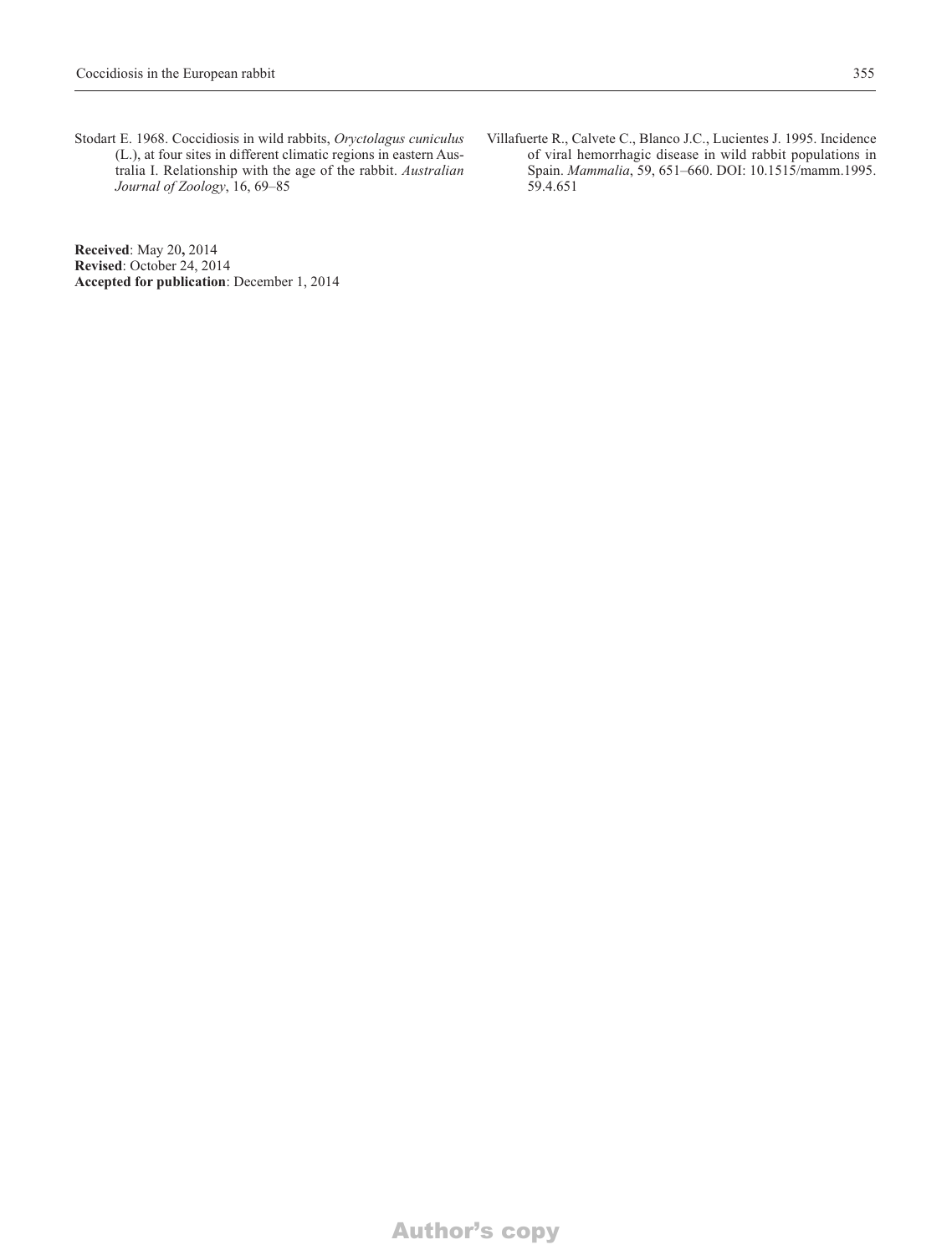Stodart E. 1968. Coccidiosis in wild rabbits, *Oryctolagus cuniculus* (L.), at four sites in different climatic regions in eastern Australia I. Relationship with the age of the rabbit. *Australian Journal of Zoology*, 16, 69–85

**Received**: May 20**,** 2014 **Revised**: October 24, 2014 **Accepted for publication**: December 1, 2014 Villafuerte R., Calvete C., Blanco J.C., Lucientes J. 1995. Incidence of viral hemorrhagic disease in wild rabbit populations in Spain. *Mammalia*, 59, 651–660. DOI: 10.1515/mamm.1995. 59.4.651